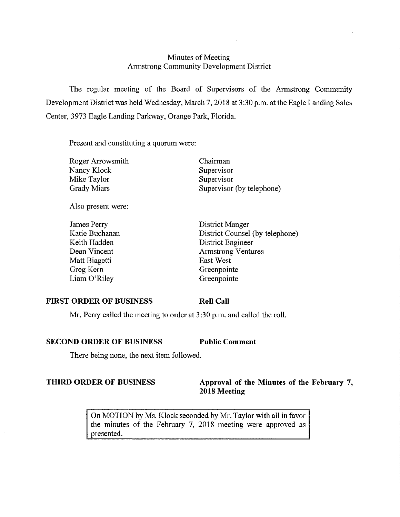## Minutes of Meeting Armstrong Community Development District

The regular meeting of the Board of Supervisors of the Armstrong Community Development District was held Wednesday, March 7, 2018 at 3:30 p.m. at the Eagle Landing Sales Center, 3973 Eagle Landing Parkway, Orange Park, Florida.

Chairman

Present and constituting a quorum were:

Roger Arrowsmith Nancy Klock Mike Taylor Grady Miars

Supervisor Supervisor Supervisor (by telephone)

Also present were:

James Perry Katie Buchanan Keith Hadden Dean Vincent Matt Biagetti Greg Kern Liam O'Riley

District Manger District Counsel (by telephone) District Engineer Armstrong Ventures East West Greenpointe Greenpointe

#### **FIRST ORDER OF BUSINESS**

**Roll Call** 

Mr. Perry called the meeting to order at 3:30 p.m. and called the roll.

### **SECOND ORDER OF BUSINESS Public Comment**

There being none, the next item followed.

## **THIRD ORDER OF BUSINESS** Approval of the Minutes of the February 7, **2018 Meeting**

On MOTION by Ms. Klock seconded by Mr. Taylor with all in favor the minutes of the February 7, 2018 meeting were approved as presented.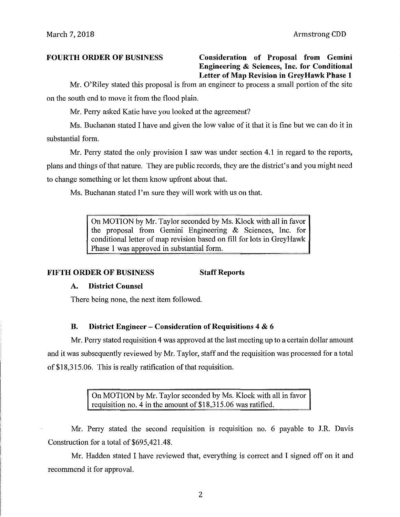# **FOURTH ORDER OF BUSINESS Consideration of Proposal from Gemini Engineering & Sciences, Inc. for Conditional Letter of Map Revision in Grey Hawk Phase 1**

Mr. O'Riley stated this proposal is from an engineer to process a small portion of the site on the south end to move it from the flood plain.

Mr. Perry asked Katie have you looked at the agreement?

Ms. Buchanan stated I have and given the low value of it that it is fine but we can do it in substantial form.

Mr. Perry stated the only provision I saw was under section 4.1 in regard to the reports, plans and things of that nature. They are public records, they are the district's and you might need to change something or let them know upfront about that.

Ms. Buchanan stated I'm sure they will work with us on that.

On MOTION by Mr. Taylor seconded by Ms. Klock with all in favor the proposal from Gemini Engineering & Sciences, Inc. for conditional letter of map revision based on fill for lots in Grey Hawk Phase 1 was approved in substantial form.

# **FIFTH ORDER OF BUSINESS Staff Reports**

# **A. District Counsel**

There being none, the next item followed.

# **B. District Engineer - Consideration of Requisitions 4 & 6**

Mr. Perry stated requisition 4 was approved at the last meeting up to a certain dollar amount and it was subsequently reviewed by Mr. Taylor, staff and the requisition was processed for a total of \$18,315.06. This is really ratification of that requisition.

> On MOTION by Mr. Taylor seconded by Ms. Klock with all in favor requisition no. 4 in the amount of \$18,315.06 was ratified.

Mr. Perry stated the second requisition is requisition no. 6 payable to J.R. Davis Construction for a total of \$695,421.48.

Mr. Hadden stated I have reviewed that, everything is correct and I signed off on it and recommend it for approval.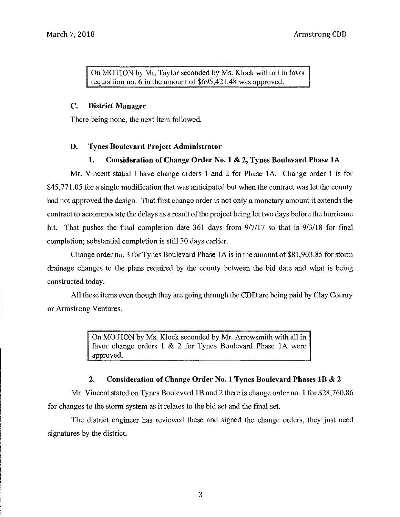On MOTION by Mr. Taylor seconded by Ms. Klock with all in favor requisition no. 6 in the amount of \$695,421.48 was approved.

#### **C. District Manager**

There being none, the next item followed.

## **D. Tynes Boulevard Project Administrator**

### **1. Consideration of Change Order No. 1 & 2, Tynes Boulevard Phase lA**

Mr. Vincent stated I have change orders 1 and 2 for Phase lA. Change order 1 is for \$45,771.05 for a single modification that was anticipated but when the contract was let the county had not approved the design. That first change order is not only a monetary amount it extends the contract to accommodate the delays as a result of the project being let two days before the hurricane hit. That pushes the final completion date 361 days from 9/7/17 so that is 9/3/18 for final completion; substantial completion is still 30 days earlier.

Change order no. 3 for Tynes Boulevard Phase 1A is in the amount of \$81,903.85 for storm drainage changes to the plans required by the county between the bid date and what is being constructed today.

All these items even though they are going through the CDD are being paid by Clay County or Armstrong Ventures.

> On MOTION by Ms. Klock seconded by Mr. Arrowsmith with all in favor change orders 1 & 2 for Tynes Boulevard Phase IA were approved.

### **2. Consideration of Change Order No. 1 Tynes Boulevard Phases lB & 2**

Mr. Vincent stated on Tynes Boulevard 1B and 2 there is change order no. 1 for \$28,760.86 for changes to the storm system as it relates to the bid set and the final set.

The district engineer has reviewed these and signed the change orders, they just need signatures by the district.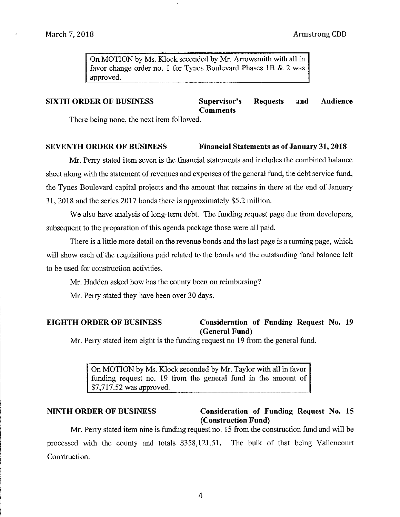On MOTION by Ms. Klock seconded by Mr. Arrowsmith with all in favor change order no. 1 for Tynes Boulevard Phases IB & 2 was approved.

# **SIXTH ORDER OF BUSINESS** Supervisor's Requests and Audience **Comments**

There being none, the next item followed.

## **SEVENTH ORDER OF BUSINESS** Financial Statements as of January 31, 2018

Mr. Perry stated item seven is the financial statements and includes the combined balance sheet along with the statement of revenues and expenses of the general fund, the debt service fund, the Tynes Boulevard capital projects and the amount that remains in there at the end of January 31, 2018 and the series 2017 bonds there is approximately \$5 .2 million.

We also have analysis of long-term debt. The funding request page due from developers, subsequent to the preparation of this agenda package those were all paid.

There is a little more detail on the revenue bonds and the last page is a running page, which will show each of the requisitions paid related to the bonds and the outstanding fund balance left to be used for construction activities.

Mr. Hadden asked how has the county been on reimbursing?

Mr. Perry stated they have been over 30 days.

## **EIGHTH ORDER OF BUSINESS Consideration of Funding Request** No. **19 (General Fund)**

Mr. Perry stated item eight is the funding request no 19 from the general fund.

On MOTION by Ms. Klock seconded by Mr. Taylor with all in favor funding request no. 19 from the general fund in the amount of \$7,717.52 was approved.

# **NINTH ORDER OF BUSINESS Consideration of Funding Request No. 15 (Construction Fund)**

Mr. Perry stated item nine is funding request no. 15 from the construction fund and will be processed with the county and totals \$358,121.51. The bulk of that being Vallencourt Construction.